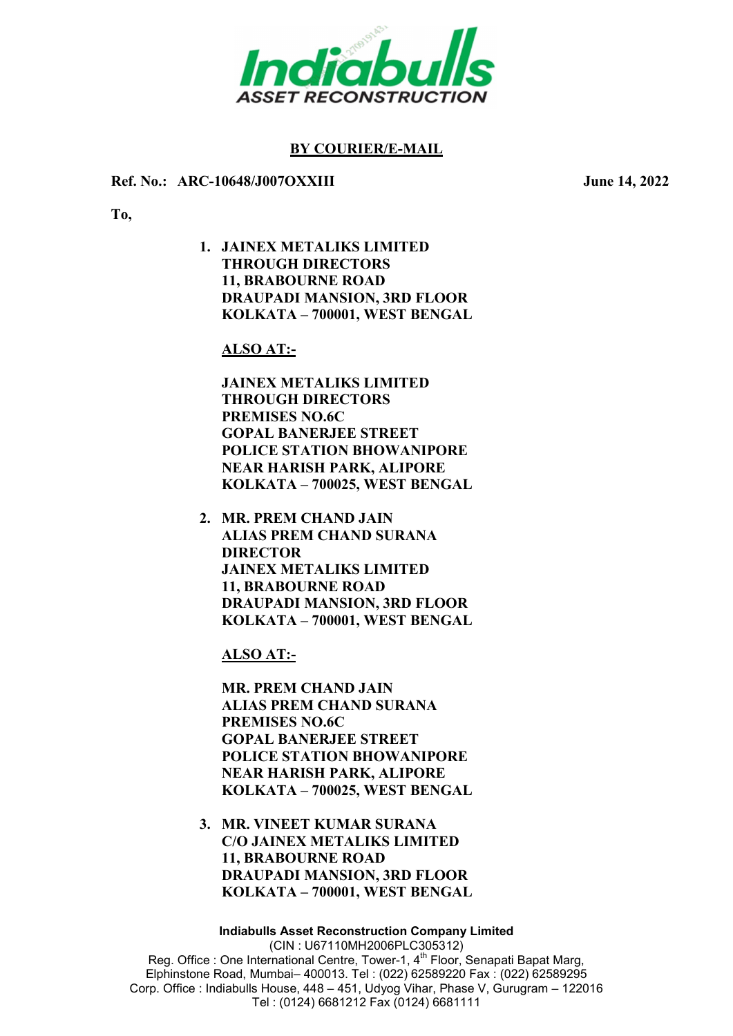

# BY COURIER/E-MAIL

#### Ref. No.: ARC-10648/J007OXXIII June 14, 2022

To,

1. JAINEX METALIKS LIMITED THROUGH DIRECTORS 11, BRABOURNE ROAD DRAUPADI MANSION, 3RD FLOOR KOLKATA – 700001, WEST BENGAL

## ALSO AT:-

JAINEX METALIKS LIMITED THROUGH DIRECTORS PREMISES NO.6C GOPAL BANERJEE STREET POLICE STATION BHOWANIPORE NEAR HARISH PARK, ALIPORE KOLKATA – 700025, WEST BENGAL

2. MR. PREM CHAND JAIN ALIAS PREM CHAND SURANA DIRECTOR JAINEX METALIKS LIMITED 11, BRABOURNE ROAD DRAUPADI MANSION, 3RD FLOOR KOLKATA – 700001, WEST BENGAL

ALSO AT:-

MR. PREM CHAND JAIN ALIAS PREM CHAND SURANA PREMISES NO.6C GOPAL BANERJEE STREET POLICE STATION BHOWANIPORE NEAR HARISH PARK, ALIPORE KOLKATA – 700025, WEST BENGAL

3. MR. VINEET KUMAR SURANA C/O JAINEX METALIKS LIMITED 11, BRABOURNE ROAD DRAUPADI MANSION, 3RD FLOOR KOLKATA – 700001, WEST BENGAL

Indiabulls Asset Reconstruction Company Limited (CIN : U67110MH2006PLC305312) Reg. Office : One International Centre, Tower-1, 4<sup>th</sup> Floor, Senapati Bapat Marg, Elphinstone Road, Mumbai– 400013. Tel : (022) 62589220 Fax : (022) 62589295 Corp. Office : Indiabulls House, 448 – 451, Udyog Vihar, Phase V, Gurugram – 122016 Tel : (0124) 6681212 Fax (0124) 6681111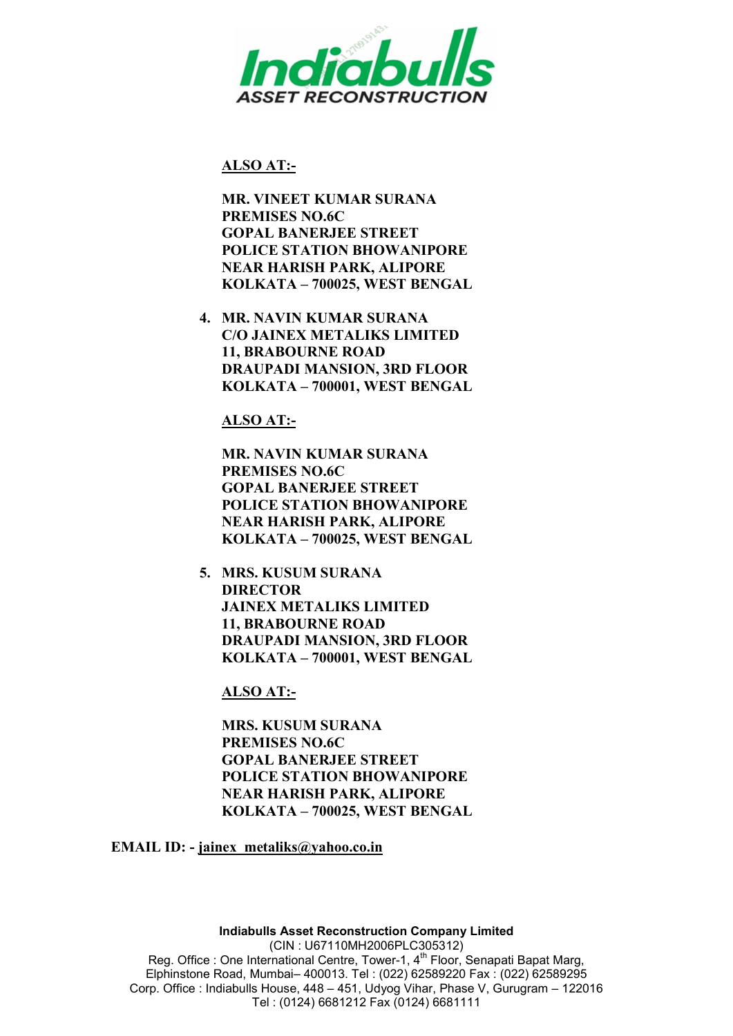

## ALSO AT:-

MR. VINEET KUMAR SURANA PREMISES NO.6C GOPAL BANERJEE STREET POLICE STATION BHOWANIPORE NEAR HARISH PARK, ALIPORE KOLKATA – 700025, WEST BENGAL

4. MR. NAVIN KUMAR SURANA C/O JAINEX METALIKS LIMITED 11, BRABOURNE ROAD DRAUPADI MANSION, 3RD FLOOR KOLKATA – 700001, WEST BENGAL

ALSO AT:-

MR. NAVIN KUMAR SURANA PREMISES NO.6C GOPAL BANERJEE STREET POLICE STATION BHOWANIPORE NEAR HARISH PARK, ALIPORE KOLKATA – 700025, WEST BENGAL

5. MRS. KUSUM SURANA DIRECTOR JAINEX METALIKS LIMITED 11, BRABOURNE ROAD DRAUPADI MANSION, 3RD FLOOR KOLKATA – 700001, WEST BENGAL

ALSO AT:-

MRS. KUSUM SURANA PREMISES NO.6C GOPAL BANERJEE STREET POLICE STATION BHOWANIPORE NEAR HARISH PARK, ALIPORE KOLKATA – 700025, WEST BENGAL

EMAIL ID: - jainex\_metaliks@yahoo.co.in

Indiabulls Asset Reconstruction Company Limited (CIN : U67110MH2006PLC305312) Reg. Office : One International Centre, Tower-1, 4<sup>th</sup> Floor, Senapati Bapat Marg, Elphinstone Road, Mumbai– 400013. Tel : (022) 62589220 Fax : (022) 62589295 Corp. Office : Indiabulls House, 448 – 451, Udyog Vihar, Phase V, Gurugram – 122016 Tel : (0124) 6681212 Fax (0124) 6681111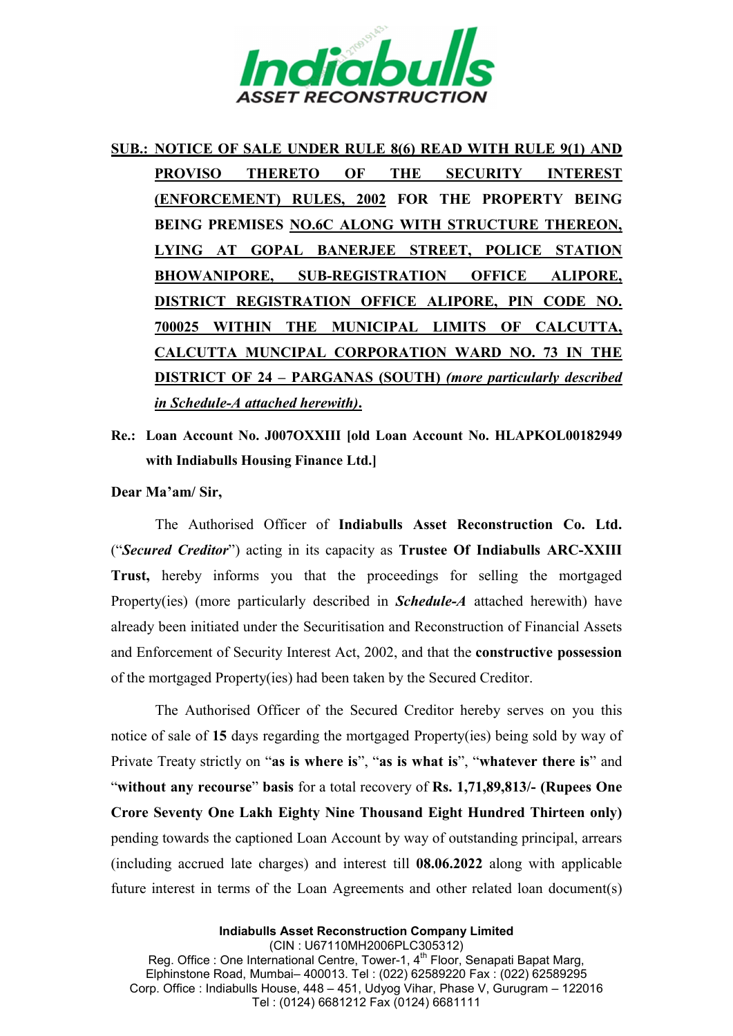

# SUB.: NOTICE OF SALE UNDER RULE 8(6) READ WITH RULE 9(1) AND PROVISO THERETO OF THE SECURITY INTEREST (ENFORCEMENT) RULES, 2002 FOR THE PROPERTY BEING BEING PREMISES NO.6C ALONG WITH STRUCTURE THEREON, LYING AT GOPAL BANERJEE STREET, POLICE STATION BHOWANIPORE, SUB-REGISTRATION OFFICE ALIPORE, DISTRICT REGISTRATION OFFICE ALIPORE, PIN CODE NO. 700025 WITHIN THE MUNICIPAL LIMITS OF CALCUTTA, CALCUTTA MUNCIPAL CORPORATION WARD NO. 73 IN THE DISTRICT OF 24 – PARGANAS (SOUTH) (more particularly described in Schedule-A attached herewith).

Re.: Loan Account No. J007OXXIII [old Loan Account No. HLAPKOL00182949 with Indiabulls Housing Finance Ltd.]

Dear Ma'am/ Sir,

The Authorised Officer of Indiabulls Asset Reconstruction Co. Ltd. ("Secured Creditor") acting in its capacity as Trustee Of Indiabulls ARC-XXIII Trust, hereby informs you that the proceedings for selling the mortgaged Property(ies) (more particularly described in *Schedule-A* attached herewith) have already been initiated under the Securitisation and Reconstruction of Financial Assets and Enforcement of Security Interest Act, 2002, and that the constructive possession of the mortgaged Property(ies) had been taken by the Secured Creditor.

The Authorised Officer of the Secured Creditor hereby serves on you this notice of sale of 15 days regarding the mortgaged Property(ies) being sold by way of Private Treaty strictly on "as is where is", "as is what is", "whatever there is" and "without any recourse" basis for a total recovery of Rs. 1,71,89,813/- (Rupees One Crore Seventy One Lakh Eighty Nine Thousand Eight Hundred Thirteen only) pending towards the captioned Loan Account by way of outstanding principal, arrears (including accrued late charges) and interest till 08.06.2022 along with applicable future interest in terms of the Loan Agreements and other related loan document(s)

Indiabulls Asset Reconstruction Company Limited (CIN : U67110MH2006PLC305312) Reg. Office : One International Centre, Tower-1, 4th Floor, Senapati Bapat Marg, Elphinstone Road, Mumbai– 400013. Tel : (022) 62589220 Fax : (022) 62589295 Corp. Office : Indiabulls House, 448 – 451, Udyog Vihar, Phase V, Gurugram – 122016 Tel : (0124) 6681212 Fax (0124) 6681111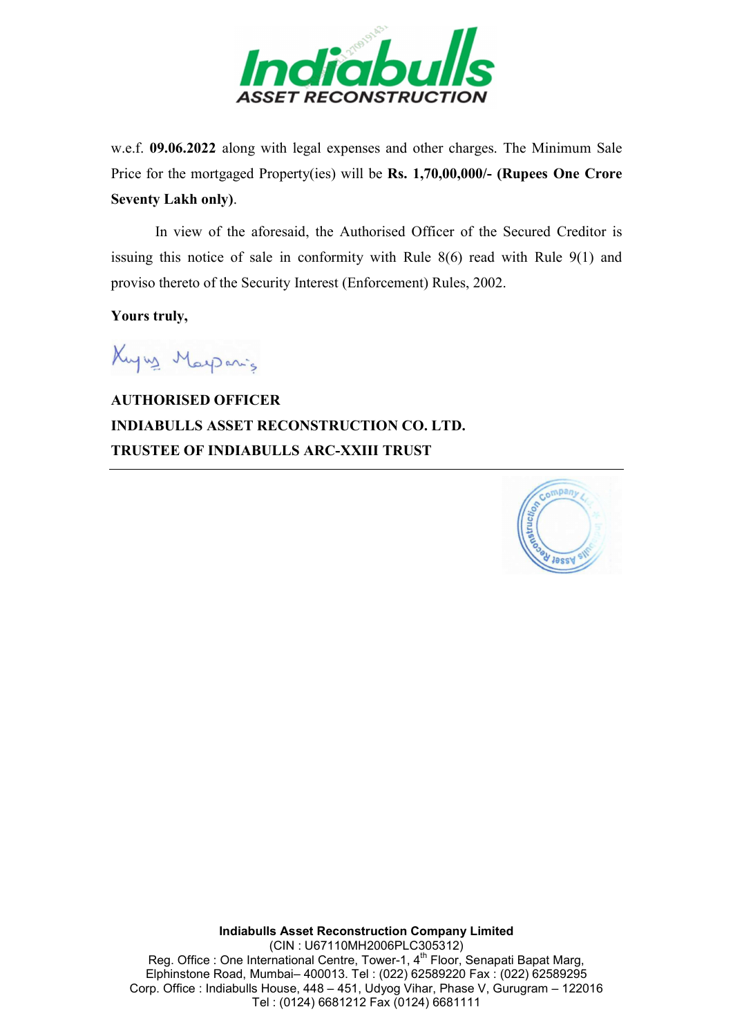

w.e.f. 09.06.2022 along with legal expenses and other charges. The Minimum Sale Price for the mortgaged Property(ies) will be Rs. 1,70,00,000/- (Rupees One Crore Seventy Lakh only).

In view of the aforesaid, the Authorised Officer of the Secured Creditor is issuing this notice of sale in conformity with Rule 8(6) read with Rule 9(1) and proviso thereto of the Security Interest (Enforcement) Rules, 2002.

Yours truly,

Kuyng Maysanis

AUTHORISED OFFICER INDIABULLS ASSET RECONSTRUCTION CO. LTD. TRUSTEE OF INDIABULLS ARC-XXIII TRUST



Indiabulls Asset Reconstruction Company Limited (CIN : U67110MH2006PLC305312) Reg. Office : One International Centre, Tower-1, 4th Floor, Senapati Bapat Marg, Elphinstone Road, Mumbai– 400013. Tel : (022) 62589220 Fax : (022) 62589295 Corp. Office : Indiabulls House, 448 – 451, Udyog Vihar, Phase V, Gurugram – 122016 Tel : (0124) 6681212 Fax (0124) 6681111